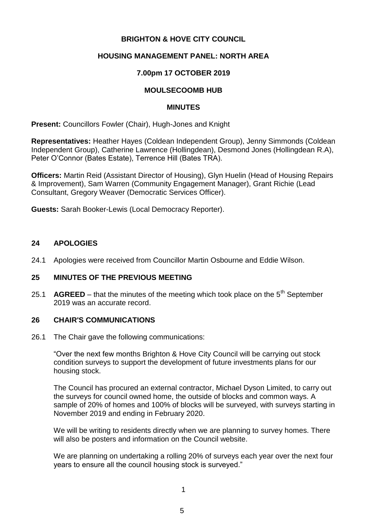## **BRIGHTON & HOVE CITY COUNCIL**

## **HOUSING MANAGEMENT PANEL: NORTH AREA**

## **7.00pm 17 OCTOBER 2019**

#### **MOULSECOOMB HUB**

#### **MINUTES**

**Present:** Councillors Fowler (Chair), Hugh-Jones and Knight

**Representatives:** Heather Hayes (Coldean Independent Group), Jenny Simmonds (Coldean Independent Group), Catherine Lawrence (Hollingdean), Desmond Jones (Hollingdean R.A), Peter O'Connor (Bates Estate), Terrence Hill (Bates TRA).

**Officers:** Martin Reid (Assistant Director of Housing), Glyn Huelin (Head of Housing Repairs & Improvement), Sam Warren (Community Engagement Manager), Grant Richie (Lead Consultant, Gregory Weaver (Democratic Services Officer).

**Guests:** Sarah Booker-Lewis (Local Democracy Reporter).

#### **24 APOLOGIES**

24.1 Apologies were received from Councillor Martin Osbourne and Eddie Wilson.

#### **25 MINUTES OF THE PREVIOUS MEETING**

25.1 **AGREED** – that the minutes of the meeting which took place on the  $5<sup>th</sup>$  September 2019 was an accurate record.

#### **26 CHAIR'S COMMUNICATIONS**

26.1 The Chair gave the following communications:

"Over the next few months Brighton & Hove City Council will be carrying out stock condition surveys to support the development of future investments plans for our housing stock.

The Council has procured an external contractor, Michael Dyson Limited, to carry out the surveys for council owned home, the outside of blocks and common ways. A sample of 20% of homes and 100% of blocks will be surveyed, with surveys starting in November 2019 and ending in February 2020.

We will be writing to residents directly when we are planning to survey homes. There will also be posters and information on the Council website.

We are planning on undertaking a rolling 20% of surveys each year over the next four years to ensure all the council housing stock is surveyed."

1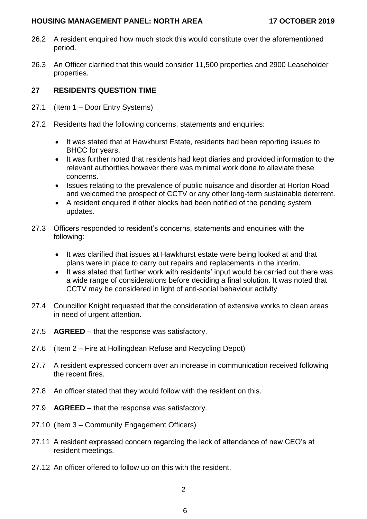#### **HOUSING MANAGEMENT PANEL: NORTH AREA 17 OCTOBER 2019**

- 26.2 A resident enquired how much stock this would constitute over the aforementioned period.
- 26.3 An Officer clarified that this would consider 11,500 properties and 2900 Leaseholder properties.

# **27 RESIDENTS QUESTION TIME**

- 27.1 (Item 1 Door Entry Systems)
- 27.2 Residents had the following concerns, statements and enquiries:
	- It was stated that at Hawkhurst Estate, residents had been reporting issues to BHCC for years.
	- It was further noted that residents had kept diaries and provided information to the relevant authorities however there was minimal work done to alleviate these concerns.
	- Issues relating to the prevalence of public nuisance and disorder at Horton Road and welcomed the prospect of CCTV or any other long-term sustainable deterrent.
	- A resident enquired if other blocks had been notified of the pending system updates.
- 27.3 Officers responded to resident's concerns, statements and enquiries with the following:
	- It was clarified that issues at Hawkhurst estate were being looked at and that plans were in place to carry out repairs and replacements in the interim.
	- It was stated that further work with residents' input would be carried out there was a wide range of considerations before deciding a final solution. It was noted that CCTV may be considered in light of anti-social behaviour activity.
- 27.4 Councillor Knight requested that the consideration of extensive works to clean areas in need of urgent attention.
- 27.5 **AGREED** that the response was satisfactory.
- 27.6 (Item 2 Fire at Hollingdean Refuse and Recycling Depot)
- 27.7 A resident expressed concern over an increase in communication received following the recent fires.
- 27.8 An officer stated that they would follow with the resident on this.
- 27.9 **AGREED**  that the response was satisfactory.
- 27.10 (Item 3 Community Engagement Officers)
- 27.11 A resident expressed concern regarding the lack of attendance of new CEO's at resident meetings.
- 27.12 An officer offered to follow up on this with the resident.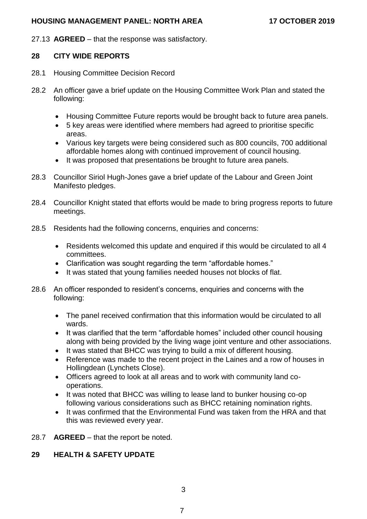### **HOUSING MANAGEMENT PANEL: NORTH AREA 17 OCTOBER 2019**

27.13 **AGREED** – that the response was satisfactory.

## **28 CITY WIDE REPORTS**

- 28.1 Housing Committee Decision Record
- 28.2 An officer gave a brief update on the Housing Committee Work Plan and stated the following:
	- Housing Committee Future reports would be brought back to future area panels.
	- 5 key areas were identified where members had agreed to prioritise specific areas.
	- Various key targets were being considered such as 800 councils, 700 additional affordable homes along with continued improvement of council housing.
	- It was proposed that presentations be brought to future area panels.
- 28.3 Councillor Siriol Hugh-Jones gave a brief update of the Labour and Green Joint Manifesto pledges.
- 28.4 Councillor Knight stated that efforts would be made to bring progress reports to future meetings.
- 28.5 Residents had the following concerns, enquiries and concerns:
	- Residents welcomed this update and enquired if this would be circulated to all 4 committees.
	- Clarification was sought regarding the term "affordable homes."
	- It was stated that young families needed houses not blocks of flat.
- 28.6 An officer responded to resident's concerns, enquiries and concerns with the following:
	- The panel received confirmation that this information would be circulated to all wards.
	- It was clarified that the term "affordable homes" included other council housing along with being provided by the living wage joint venture and other associations.
	- It was stated that BHCC was trying to build a mix of different housing.
	- Reference was made to the recent project in the Laines and a row of houses in Hollingdean (Lynchets Close).
	- Officers agreed to look at all areas and to work with community land cooperations.
	- It was noted that BHCC was willing to lease land to bunker housing co-op following various considerations such as BHCC retaining nomination rights.
	- It was confirmed that the Environmental Fund was taken from the HRA and that this was reviewed every year.
- 28.7 **AGREED** that the report be noted.

# **29 HEALTH & SAFETY UPDATE**

3